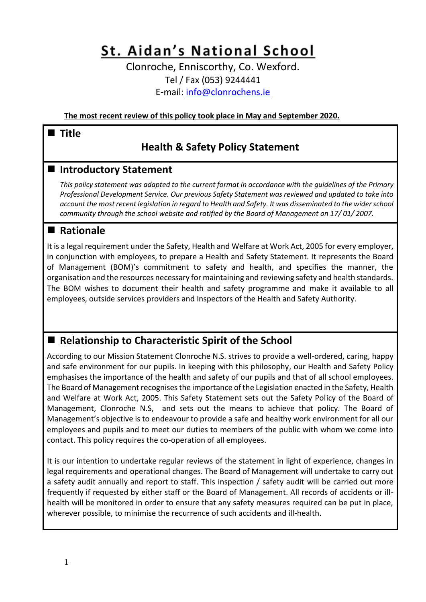# St. Aidan's National School

Clonroche, Enniscorthy, Co. Wexford. Tel / Fax (053) 9244441 E-mail: [info@clonrochens.ie](mailto:info@clonrochens.ie)

**The most recent review of this policy took place in May and September 2020.**

# **Title**

# **Health & Safety Policy Statement**

# **Introductory Statement**

*This policy statement was adapted to the current format in accordance with the guidelines of the Primary Professional Development Service. Our previous Safety Statement was reviewed and updated to take into account the most recent legislation in regard to Health and Safety. It was disseminated to the wider school community through the school website and ratified by the Board of Management on 17/ 01/ 2007.*

# **Rationale**

It is a legal requirement under the Safety, Health and Welfare at Work Act, 2005 for every employer, in conjunction with employees, to prepare a Health and Safety Statement. It represents the Board of Management (BOM)'s commitment to safety and health, and specifies the manner, the organisation and the resources necessary for maintaining and reviewing safety and health standards. The BOM wishes to document their health and safety programme and make it available to all employees, outside services providers and Inspectors of the Health and Safety Authority.

# ■ Relationship to Characteristic Spirit of the School

According to our Mission Statement Clonroche N.S. strives to provide a well-ordered, caring, happy and safe environment for our pupils. In keeping with this philosophy, our Health and Safety Policy emphasises the importance of the health and safety of our pupils and that of all school employees. The Board of Management recognises the importance of the Legislation enacted in the Safety, Health and Welfare at Work Act, 2005. This Safety Statement sets out the Safety Policy of the Board of Management, Clonroche N.S, and sets out the means to achieve that policy. The Board of Management's objective is to endeavour to provide a safe and healthy work environment for all our employees and pupils and to meet our duties to members of the public with whom we come into contact. This policy requires the co-operation of all employees.

It is our intention to undertake regular reviews of the statement in light of experience, changes in legal requirements and operational changes. The Board of Management will undertake to carry out a safety audit annually and report to staff. This inspection / safety audit will be carried out more frequently if requested by either staff or the Board of Management. All records of accidents or illhealth will be monitored in order to ensure that any safety measures required can be put in place, wherever possible, to minimise the recurrence of such accidents and ill-health.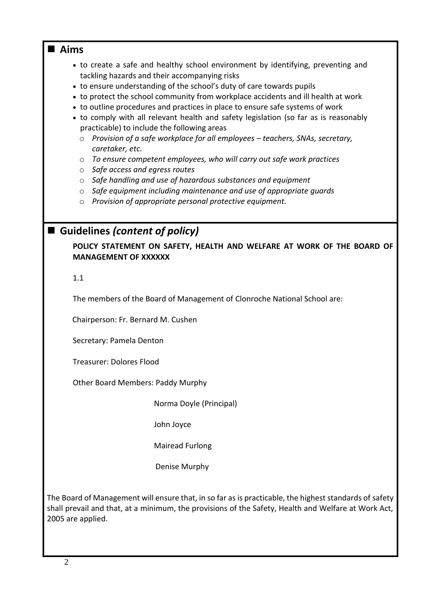# **Aims**

- to create a safe and healthy school environment by identifying, preventing and tackling hazards and their accompanying risks
- to ensure understanding of the school's duty of care towards pupils
- to protect the school community from workplace accidents and ill health at work
- to outline procedures and practices in place to ensure safe systems of work
- to comply with all relevant health and safety legislation (so far as is reasonably practicable) to include the following areas
	- o *Provision of a safe workplace for all employees – teachers, SNAs, secretary, caretaker, etc.*
	- o *To ensure competent employees, who will carry out safe work practices*
	- o *Safe access and egress routes*
	- o *Safe handling and use of hazardous substances and equipment*
	- o *Safe equipment including maintenance and use of appropriate guards*
	- o *Provision of appropriate personal protective equipment.*

# ■ Guidelines *(content of policy)*

**POLICY STATEMENT ON SAFETY, HEALTH AND WELFARE AT WORK OF THE BOARD OF MANAGEMENT OF XXXXXX**

1.1

The members of the Board of Management of Clonroche National School are:

Chairperson: Fr. Bernard M. Cushen

Secretary: Pamela Denton

Treasurer: Dolores Flood

Other Board Members: Paddy Murphy

Norma Doyle (Principal)

John Joyce

Mairead Furlong

Denise Murphy

The Board of Management will ensure that, in so far as is practicable, the highest standards of safety shall prevail and that, at a minimum, the provisions of the Safety, Health and Welfare at Work Act, 2005 are applied.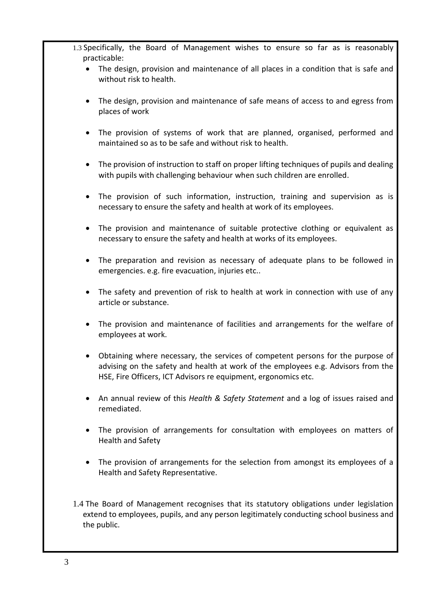- 1.3 Specifically, the Board of Management wishes to ensure so far as is reasonably practicable:
	- The design, provision and maintenance of all places in a condition that is safe and without risk to health.
	- The design, provision and maintenance of safe means of access to and egress from places of work
	- The provision of systems of work that are planned, organised, performed and maintained so as to be safe and without risk to health.
	- The provision of instruction to staff on proper lifting techniques of pupils and dealing with pupils with challenging behaviour when such children are enrolled.
	- The provision of such information, instruction, training and supervision as is necessary to ensure the safety and health at work of its employees.
	- The provision and maintenance of suitable protective clothing or equivalent as necessary to ensure the safety and health at works of its employees.
	- The preparation and revision as necessary of adequate plans to be followed in emergencies. e.g. fire evacuation, injuries etc..
	- The safety and prevention of risk to health at work in connection with use of any article or substance.
	- The provision and maintenance of facilities and arrangements for the welfare of employees at work.
	- Obtaining where necessary, the services of competent persons for the purpose of advising on the safety and health at work of the employees e.g. Advisors from the HSE, Fire Officers, ICT Advisors re equipment, ergonomics etc.
	- An annual review of this *Health & Safety Statement* and a log of issues raised and remediated.
	- The provision of arrangements for consultation with employees on matters of Health and Safety
	- The provision of arrangements for the selection from amongst its employees of a Health and Safety Representative.
- 1.4 The Board of Management recognises that its statutory obligations under legislation extend to employees, pupils, and any person legitimately conducting school business and the public.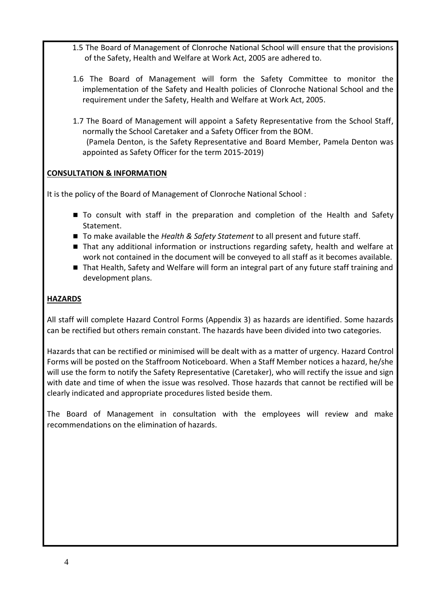- 1.5 The Board of Management of Clonroche National School will ensure that the provisions of the Safety, Health and Welfare at Work Act, 2005 are adhered to.
- 1.6 The Board of Management will form the Safety Committee to monitor the implementation of the Safety and Health policies of Clonroche National School and the requirement under the Safety, Health and Welfare at Work Act, 2005.
- 1.7 The Board of Management will appoint a Safety Representative from the School Staff, normally the School Caretaker and a Safety Officer from the BOM. (Pamela Denton, is the Safety Representative and Board Member, Pamela Denton was appointed as Safety Officer for the term 2015-2019)

# **CONSULTATION & INFORMATION**

It is the policy of the Board of Management of Clonroche National School :

- To consult with staff in the preparation and completion of the Health and Safety Statement.
- To make available the *Health & Safety Statement* to all present and future staff.
- That any additional information or instructions regarding safety, health and welfare at work not contained in the document will be conveyed to all staff as it becomes available.
- That Health, Safety and Welfare will form an integral part of any future staff training and development plans.

# **HAZARDS**

All staff will complete Hazard Control Forms (Appendix 3) as hazards are identified. Some hazards can be rectified but others remain constant. The hazards have been divided into two categories.

Hazards that can be rectified or minimised will be dealt with as a matter of urgency. Hazard Control Forms will be posted on the Staffroom Noticeboard. When a Staff Member notices a hazard, he/she will use the form to notify the Safety Representative (Caretaker), who will rectify the issue and sign with date and time of when the issue was resolved. Those hazards that cannot be rectified will be clearly indicated and appropriate procedures listed beside them.

The Board of Management in consultation with the employees will review and make recommendations on the elimination of hazards.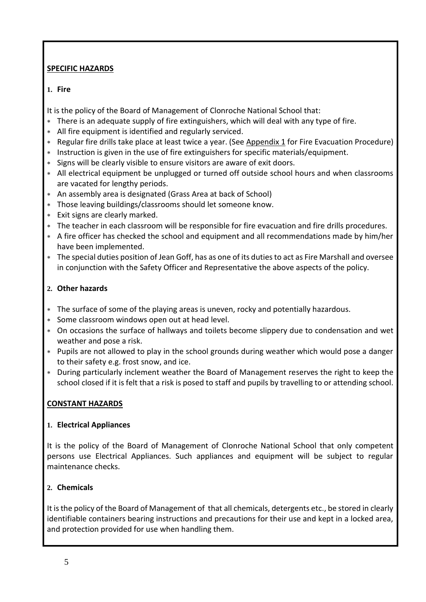# **SPECIFIC HAZARDS**

# **1. Fire**

It is the policy of the Board of Management of Clonroche National School that:

- There is an adequate supply of fire extinguishers, which will deal with any type of fire.
- All fire equipment is identified and regularly serviced.
- \* Regular fire drills take place at least twice a year. (See [Appendix 1](#page-8-0) for Fire Evacuation Procedure)
- Instruction is given in the use of fire extinguishers for specific materials/equipment.
- Signs will be clearly visible to ensure visitors are aware of exit doors.
- All electrical equipment be unplugged or turned off outside school hours and when classrooms are vacated for lengthy periods.
- An assembly area is designated (Grass Area at back of School)
- Those leaving buildings/classrooms should let someone know.
- Exit signs are clearly marked.
- The teacher in each classroom will be responsible for fire evacuation and fire drills procedures.
- A fire officer has checked the school and equipment and all recommendations made by him/her have been implemented.
- The special duties position of Jean Goff, has as one of its duties to act as Fire Marshall and oversee in conjunction with the Safety Officer and Representative the above aspects of the policy.

# **2. Other hazards**

- The surface of some of the playing areas is uneven, rocky and potentially hazardous.
- Some classroom windows open out at head level.
- On occasions the surface of hallways and toilets become slippery due to condensation and wet weather and pose a risk.
- Pupils are not allowed to play in the school grounds during weather which would pose a danger to their safety e.g. frost snow, and ice.
- During particularly inclement weather the Board of Management reserves the right to keep the school closed if it is felt that a risk is posed to staff and pupils by travelling to or attending school.

# **CONSTANT HAZARDS**

# **1. Electrical Appliances**

It is the policy of the Board of Management of Clonroche National School that only competent persons use Electrical Appliances. Such appliances and equipment will be subject to regular maintenance checks.

# **2. Chemicals**

It is the policy of the Board of Management of that all chemicals, detergents etc., be stored in clearly identifiable containers bearing instructions and precautions for their use and kept in a locked area, and protection provided for use when handling them.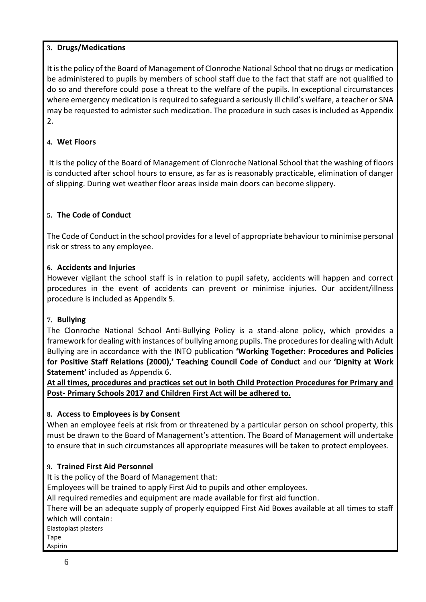# **3. Drugs/Medications**

It is the policy of the Board of Management of Clonroche National School that no drugs or medication be administered to pupils by members of school staff due to the fact that staff are not qualified to do so and therefore could pose a threat to the welfare of the pupils. In exceptional circumstances where emergency medication is required to safeguard a seriously ill child's welfare, a teacher or SNA may be requested to admister such medication. The procedure in such cases is included as Appendix 2.

# **4. Wet Floors**

It is the policy of the Board of Management of Clonroche National School that the washing of floors is conducted after school hours to ensure, as far as is reasonably practicable, elimination of danger of slipping. During wet weather floor areas inside main doors can become slippery.

# **5. The Code of Conduct**

The Code of Conduct in the school provides for a level of appropriate behaviour to minimise personal risk or stress to any employee.

### **6. Accidents and Injuries**

However vigilant the school staff is in relation to pupil safety, accidents will happen and correct procedures in the event of accidents can prevent or minimise injuries. Our accident/illness procedure is included as Appendix 5.

### **7. Bullying**

The Clonroche National School Anti-Bullying Policy is a stand-alone policy, which provides a framework for dealing with instances of bullying among pupils. The procedures for dealing with Adult Bullying are in accordance with the INTO publication **'Working Together: Procedures and Policies for Positive Staff Relations (2000),' Teaching Council Code of Conduct** and our **'Dignity at Work Statement'** included as Appendix 6.

**At all times, procedures and practices set out in both Child Protection Procedures for Primary and Post- Primary Schools 2017 and Children First Act will be adhered to.**

### **8. Access to Employees is by Consent**

When an employee feels at risk from or threatened by a particular person on school property, this must be drawn to the Board of Management's attention. The Board of Management will undertake to ensure that in such circumstances all appropriate measures will be taken to protect employees.

# **9. Trained First Aid Personnel**

It is the policy of the Board of Management that:

Employees will be trained to apply First Aid to pupils and other employees.

All required remedies and equipment are made available for first aid function.

There will be an adequate supply of properly equipped First Aid Boxes available at all times to staff which will contain:

Elastoplast plasters

Tape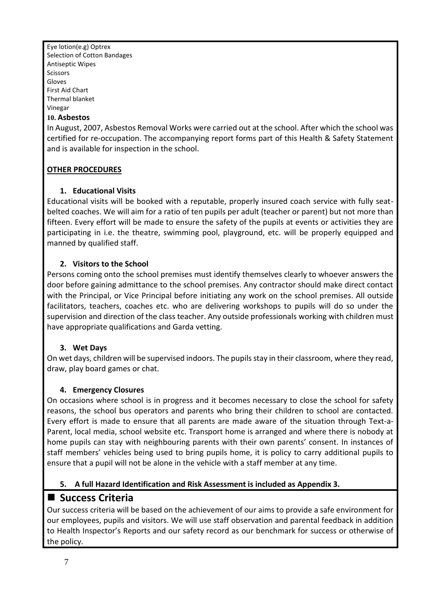Eye lotion(e.g) Optrex Selection of Cotton Bandages Antiseptic Wipes Scissors Gloves First Aid Chart Thermal blanket Vinegar

#### **10. Asbestos**

In August, 2007, Asbestos Removal Works were carried out at the school. After which the school was certified for re-occupation. The accompanying report forms part of this Health & Safety Statement and is available for inspection in the school.

### **OTHER PROCEDURES**

### **1. Educational Visits**

Educational visits will be booked with a reputable, properly insured coach service with fully seatbelted coaches. We will aim for a ratio of ten pupils per adult (teacher or parent) but not more than fifteen. Every effort will be made to ensure the safety of the pupils at events or activities they are participating in i.e. the theatre, swimming pool, playground, etc. will be properly equipped and manned by qualified staff.

### **2. Visitors to the School**

Persons coming onto the school premises must identify themselves clearly to whoever answers the door before gaining admittance to the school premises. Any contractor should make direct contact with the Principal, or Vice Principal before initiating any work on the school premises. All outside facilitators, teachers, coaches etc. who are delivering workshops to pupils will do so under the supervision and direction of the class teacher. Any outside professionals working with children must have appropriate qualifications and Garda vetting.

### **3. Wet Days**

On wet days, children will be supervised indoors. The pupils stay in their classroom, where they read, draw, play board games or chat.

### **4. Emergency Closures**

On occasions where school is in progress and it becomes necessary to close the school for safety reasons, the school bus operators and parents who bring their children to school are contacted. Every effort is made to ensure that all parents are made aware of the situation through Text-a-Parent, local media, school website etc. Transport home is arranged and where there is nobody at home pupils can stay with neighbouring parents with their own parents' consent. In instances of staff members' vehicles being used to bring pupils home, it is policy to carry additional pupils to ensure that a pupil will not be alone in the vehicle with a staff member at any time.

### **5. A full Hazard Identification and Risk Assessment is included as Appendix 3.**

# ■ Success Criteria

Our success criteria will be based on the achievement of our aims to provide a safe environment for our employees, pupils and visitors. We will use staff observation and parental feedback in addition to Health Inspector's Reports and our safety record as our benchmark for success or otherwise of the policy.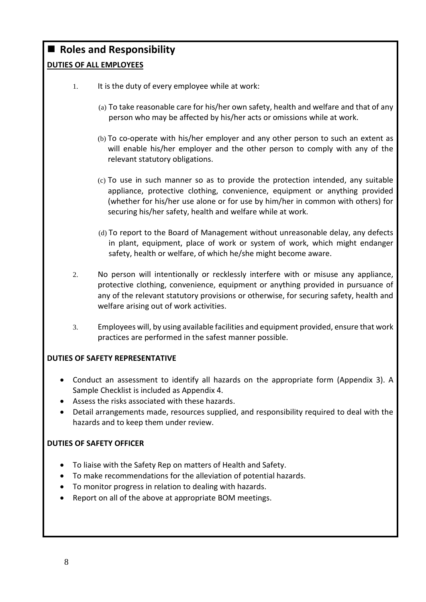# ■ Roles and Responsibility

# **DUTIES OF ALL EMPLOYEES**

- 1. It is the duty of every employee while at work:
	- (a) To take reasonable care for his/her own safety, health and welfare and that of any person who may be affected by his/her acts or omissions while at work.
	- (b) To co-operate with his/her employer and any other person to such an extent as will enable his/her employer and the other person to comply with any of the relevant statutory obligations.
	- (c) To use in such manner so as to provide the protection intended, any suitable appliance, protective clothing, convenience, equipment or anything provided (whether for his/her use alone or for use by him/her in common with others) for securing his/her safety, health and welfare while at work.
	- (d) To report to the Board of Management without unreasonable delay, any defects in plant, equipment, place of work or system of work, which might endanger safety, health or welfare, of which he/she might become aware.
- 2. No person will intentionally or recklessly interfere with or misuse any appliance, protective clothing, convenience, equipment or anything provided in pursuance of any of the relevant statutory provisions or otherwise, for securing safety, health and welfare arising out of work activities.
- 3. Employees will, by using available facilities and equipment provided, ensure that work practices are performed in the safest manner possible.

# **DUTIES OF SAFETY REPRESENTATIVE**

- Conduct an assessment to identify all hazards on the appropriate form (Appendix 3). A Sample Checklist is included as Appendix 4.
- Assess the risks associated with these hazards.
- Detail arrangements made, resources supplied, and responsibility required to deal with the hazards and to keep them under review.

# **DUTIES OF SAFETY OFFICER**

- To liaise with the Safety Rep on matters of Health and Safety.
- To make recommendations for the alleviation of potential hazards.
- To monitor progress in relation to dealing with hazards.
- Report on all of the above at appropriate BOM meetings.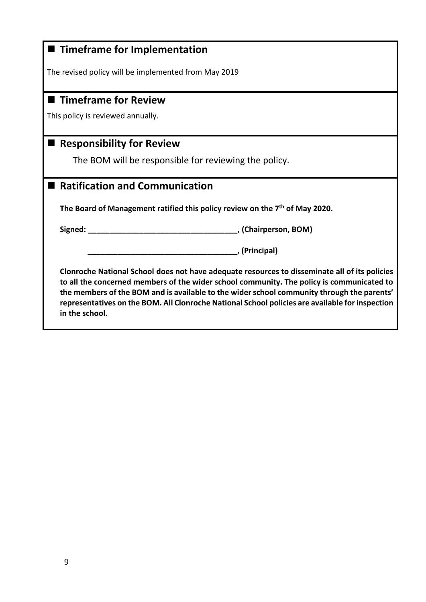<span id="page-8-0"></span>

| ■ Timeframe for Implementation                                                                                                                                                                                                                                                                                                                                                                                |
|---------------------------------------------------------------------------------------------------------------------------------------------------------------------------------------------------------------------------------------------------------------------------------------------------------------------------------------------------------------------------------------------------------------|
| The revised policy will be implemented from May 2019                                                                                                                                                                                                                                                                                                                                                          |
|                                                                                                                                                                                                                                                                                                                                                                                                               |
| ■ Timeframe for Review                                                                                                                                                                                                                                                                                                                                                                                        |
| This policy is reviewed annually.                                                                                                                                                                                                                                                                                                                                                                             |
|                                                                                                                                                                                                                                                                                                                                                                                                               |
| <b>Responsibility for Review</b>                                                                                                                                                                                                                                                                                                                                                                              |
| The BOM will be responsible for reviewing the policy.                                                                                                                                                                                                                                                                                                                                                         |
| <b>Ratification and Communication</b>                                                                                                                                                                                                                                                                                                                                                                         |
| The Board of Management ratified this policy review on the $7th$ of May 2020.                                                                                                                                                                                                                                                                                                                                 |
| Signed:<br>(Chairperson, BOM), (Chairperson, 2000)                                                                                                                                                                                                                                                                                                                                                            |
| (Principal),                                                                                                                                                                                                                                                                                                                                                                                                  |
| Clonroche National School does not have adequate resources to disseminate all of its policies<br>to all the concerned members of the wider school community. The policy is communicated to<br>the members of the BOM and is available to the wider school community through the parents'<br>representatives on the BOM. All Clonroche National School policies are available for inspection<br>in the school. |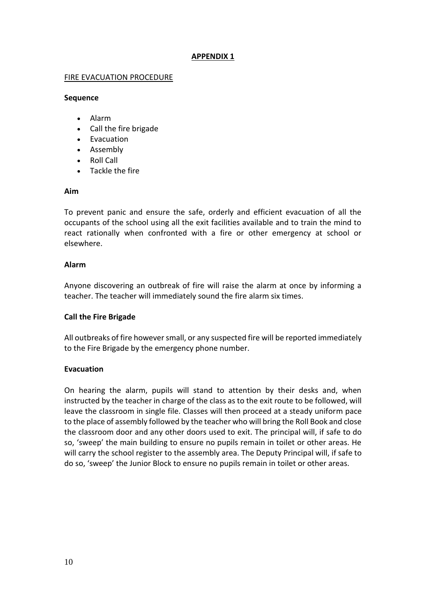#### **APPENDIX 1**

#### FIRE EVACUATION PROCEDURE

#### **Sequence**

- Alarm
- Call the fire brigade
- Evacuation
- Assembly
- Roll Call
- Tackle the fire

#### **Aim**

To prevent panic and ensure the safe, orderly and efficient evacuation of all the occupants of the school using all the exit facilities available and to train the mind to react rationally when confronted with a fire or other emergency at school or elsewhere.

#### **Alarm**

Anyone discovering an outbreak of fire will raise the alarm at once by informing a teacher. The teacher will immediately sound the fire alarm six times.

#### **Call the Fire Brigade**

All outbreaks of fire however small, or any suspected fire will be reported immediately to the Fire Brigade by the emergency phone number.

#### **Evacuation**

On hearing the alarm, pupils will stand to attention by their desks and, when instructed by the teacher in charge of the class as to the exit route to be followed, will leave the classroom in single file. Classes will then proceed at a steady uniform pace to the place of assembly followed by the teacher who will bring the Roll Book and close the classroom door and any other doors used to exit. The principal will, if safe to do so, 'sweep' the main building to ensure no pupils remain in toilet or other areas. He will carry the school register to the assembly area. The Deputy Principal will, if safe to do so, 'sweep' the Junior Block to ensure no pupils remain in toilet or other areas.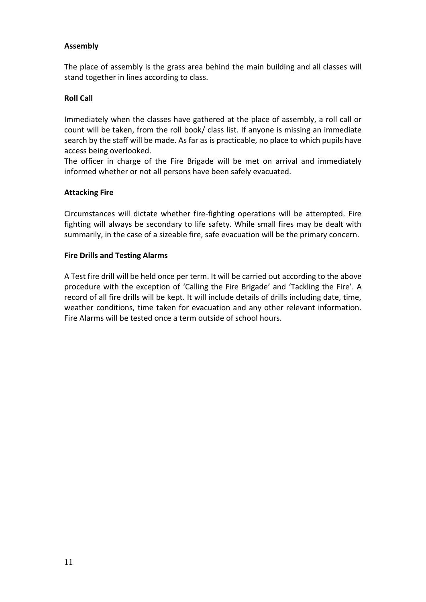### **Assembly**

The place of assembly is the grass area behind the main building and all classes will stand together in lines according to class.

#### **Roll Call**

Immediately when the classes have gathered at the place of assembly, a roll call or count will be taken, from the roll book/ class list. If anyone is missing an immediate search by the staff will be made. As far as is practicable, no place to which pupils have access being overlooked.

The officer in charge of the Fire Brigade will be met on arrival and immediately informed whether or not all persons have been safely evacuated.

#### **Attacking Fire**

Circumstances will dictate whether fire-fighting operations will be attempted. Fire fighting will always be secondary to life safety. While small fires may be dealt with summarily, in the case of a sizeable fire, safe evacuation will be the primary concern.

#### **Fire Drills and Testing Alarms**

A Test fire drill will be held once per term. It will be carried out according to the above procedure with the exception of 'Calling the Fire Brigade' and 'Tackling the Fire'. A record of all fire drills will be kept. It will include details of drills including date, time, weather conditions, time taken for evacuation and any other relevant information. Fire Alarms will be tested once a term outside of school hours.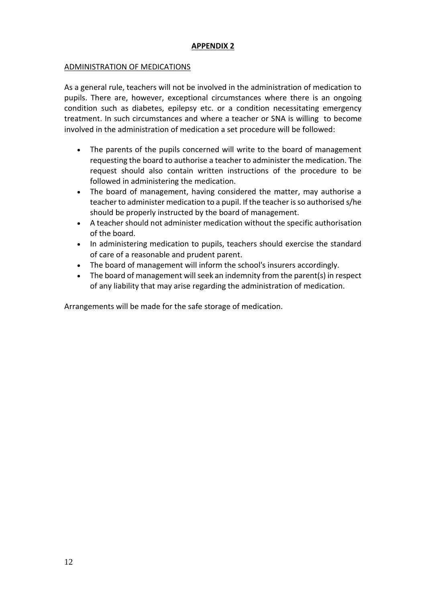#### **APPENDIX 2**

#### ADMINISTRATION OF MEDICATIONS

As a general rule, teachers will not be involved in the administration of medication to pupils. There are, however, exceptional circumstances where there is an ongoing condition such as diabetes, epilepsy etc. or a condition necessitating emergency treatment. In such circumstances and where a teacher or SNA is willing to become involved in the administration of medication a set procedure will be followed:

- The parents of the pupils concerned will write to the board of management requesting the board to authorise a teacher to administer the medication. The request should also contain written instructions of the procedure to be followed in administering the medication.
- The board of management, having considered the matter, may authorise a teacher to administer medication to a pupil. If the teacher is so authorised s/he should be properly instructed by the board of management.
- A teacher should not administer medication without the specific authorisation of the board.
- In administering medication to pupils, teachers should exercise the standard of care of a reasonable and prudent parent.
- The board of management will inform the school's insurers accordingly.
- The board of management will seek an indemnity from the parent(s) in respect of any liability that may arise regarding the administration of medication.

Arrangements will be made for the safe storage of medication.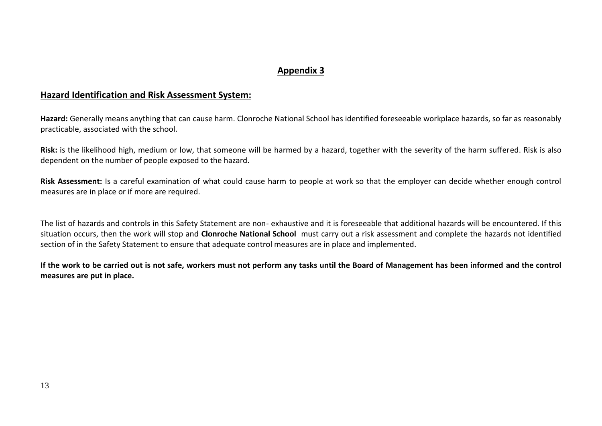# **Appendix 3**

# **Hazard Identification and Risk Assessment System:**

**Hazard:** Generally means anything that can cause harm. Clonroche National School has identified foreseeable workplace hazards, so far as reasonably practicable, associated with the school.

**Risk:** is the likelihood high, medium or low, that someone will be harmed by a hazard, together with the severity of the harm suffered. Risk is also dependent on the number of people exposed to the hazard.

**Risk Assessment:** Is a careful examination of what could cause harm to people at work so that the employer can decide whether enough control measures are in place or if more are required.

The list of hazards and controls in this Safety Statement are non- exhaustive and it is foreseeable that additional hazards will be encountered. If this situation occurs, then the work will stop and **Clonroche National School** must carry out a risk assessment and complete the hazards not identified section of in the Safety Statement to ensure that adequate control measures are in place and implemented.

**If the work to be carried out is not safe, workers must not perform any tasks until the Board of Management has been informed and the control measures are put in place.**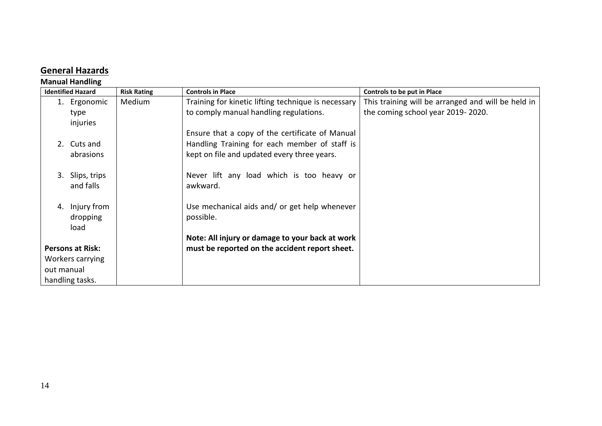# **General Hazards**

#### **Manual Handling**

| <b>Identified Hazard</b> | <b>Risk Rating</b> | <b>Controls in Place</b>                            | Controls to be put in Place                        |
|--------------------------|--------------------|-----------------------------------------------------|----------------------------------------------------|
| 1. Ergonomic             | Medium             | Training for kinetic lifting technique is necessary | This training will be arranged and will be held in |
| type                     |                    | to comply manual handling regulations.              | the coming school year 2019-2020.                  |
| injuries                 |                    |                                                     |                                                    |
|                          |                    | Ensure that a copy of the certificate of Manual     |                                                    |
| 2. Cuts and              |                    | Handling Training for each member of staff is       |                                                    |
| abrasions                |                    | kept on file and updated every three years.         |                                                    |
|                          |                    |                                                     |                                                    |
| 3.<br>Slips, trips       |                    | Never lift any load which is too heavy or           |                                                    |
| and falls                |                    | awkward.                                            |                                                    |
|                          |                    |                                                     |                                                    |
| Injury from<br>4.        |                    | Use mechanical aids and/ or get help whenever       |                                                    |
| dropping                 |                    | possible.                                           |                                                    |
| load                     |                    |                                                     |                                                    |
|                          |                    | Note: All injury or damage to your back at work     |                                                    |
| <b>Persons at Risk:</b>  |                    | must be reported on the accident report sheet.      |                                                    |
| Workers carrying         |                    |                                                     |                                                    |
| out manual               |                    |                                                     |                                                    |
| handling tasks.          |                    |                                                     |                                                    |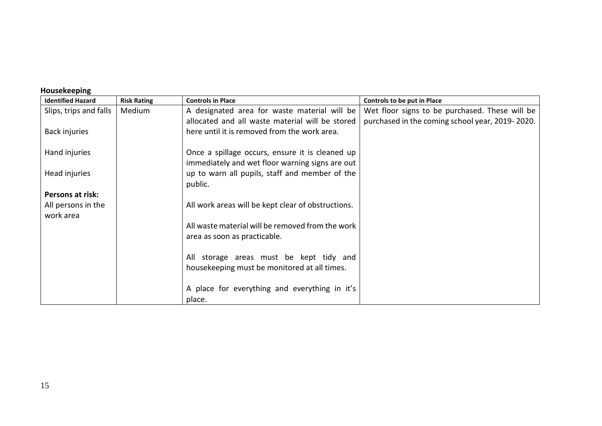| <b>IIUUJCNCCNIIIK</b>           |                    |                                                    |                                                 |
|---------------------------------|--------------------|----------------------------------------------------|-------------------------------------------------|
| <b>Identified Hazard</b>        | <b>Risk Rating</b> | <b>Controls in Place</b>                           | Controls to be put in Place                     |
| Slips, trips and falls          | Medium             | A designated area for waste material will be       | Wet floor signs to be purchased. These will be  |
|                                 |                    | allocated and all waste material will be stored    | purchased in the coming school year, 2019-2020. |
| Back injuries                   |                    | here until it is removed from the work area.       |                                                 |
| Hand injuries                   |                    | Once a spillage occurs, ensure it is cleaned up    |                                                 |
|                                 |                    | immediately and wet floor warning signs are out    |                                                 |
| Head injuries                   |                    | up to warn all pupils, staff and member of the     |                                                 |
|                                 |                    | public.                                            |                                                 |
| Persons at risk:                |                    |                                                    |                                                 |
| All persons in the<br>work area |                    | All work areas will be kept clear of obstructions. |                                                 |
|                                 |                    | All waste material will be removed from the work   |                                                 |
|                                 |                    | area as soon as practicable.                       |                                                 |
|                                 |                    | All storage areas must be kept tidy and            |                                                 |
|                                 |                    | housekeeping must be monitored at all times.       |                                                 |
|                                 |                    | A place for everything and everything in it's      |                                                 |
|                                 |                    | place.                                             |                                                 |

# **Housekeeping**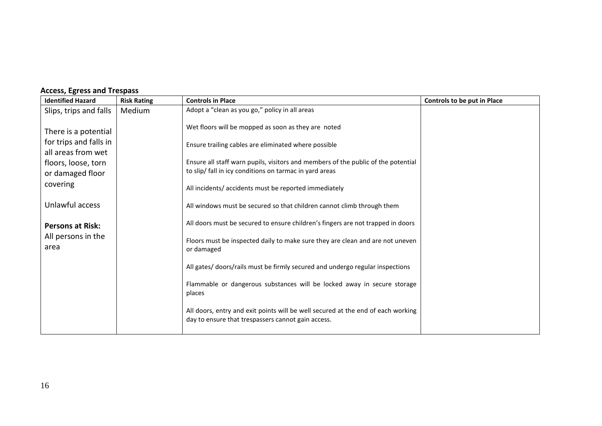| <b>Identified Hazard</b>                                                                                                    | <b>Risk Rating</b> | <b>Controls in Place</b>                                                                                                                                                                                                                                                                                             | Controls to be put in Place |
|-----------------------------------------------------------------------------------------------------------------------------|--------------------|----------------------------------------------------------------------------------------------------------------------------------------------------------------------------------------------------------------------------------------------------------------------------------------------------------------------|-----------------------------|
| Slips, trips and falls                                                                                                      | Medium             | Adopt a "clean as you go," policy in all areas                                                                                                                                                                                                                                                                       |                             |
| There is a potential<br>for trips and falls in<br>all areas from wet<br>floors, loose, torn<br>or damaged floor<br>covering |                    | Wet floors will be mopped as soon as they are noted<br>Ensure trailing cables are eliminated where possible<br>Ensure all staff warn pupils, visitors and members of the public of the potential<br>to slip/ fall in icy conditions on tarmac in yard areas<br>All incidents/ accidents must be reported immediately |                             |
| Unlawful access                                                                                                             |                    | All windows must be secured so that children cannot climb through them                                                                                                                                                                                                                                               |                             |
| <b>Persons at Risk:</b><br>All persons in the<br>area                                                                       |                    | All doors must be secured to ensure children's fingers are not trapped in doors<br>Floors must be inspected daily to make sure they are clean and are not uneven<br>or damaged                                                                                                                                       |                             |
|                                                                                                                             |                    | All gates/ doors/rails must be firmly secured and undergo regular inspections                                                                                                                                                                                                                                        |                             |
|                                                                                                                             |                    | Flammable or dangerous substances will be locked away in secure storage<br>places                                                                                                                                                                                                                                    |                             |
|                                                                                                                             |                    | All doors, entry and exit points will be well secured at the end of each working<br>day to ensure that trespassers cannot gain access.                                                                                                                                                                               |                             |

# **Access, Egress and Trespass**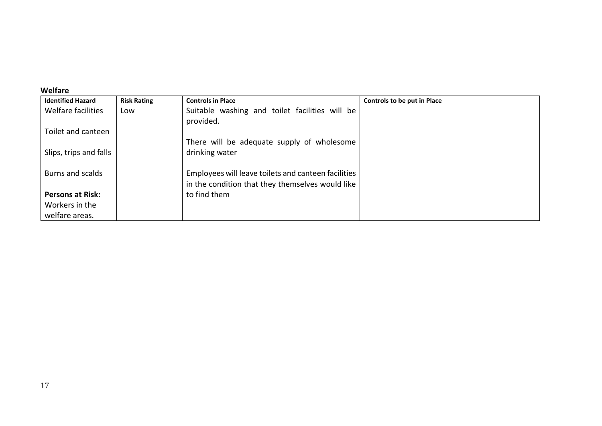# **Welfare**

| <b>Identified Hazard</b> | <b>Risk Rating</b> | <b>Controls in Place</b>                            | Controls to be put in Place |
|--------------------------|--------------------|-----------------------------------------------------|-----------------------------|
| Welfare facilities       | Low                | Suitable washing and toilet facilities will be      |                             |
|                          |                    | provided.                                           |                             |
| Toilet and canteen       |                    |                                                     |                             |
|                          |                    | There will be adequate supply of wholesome          |                             |
| Slips, trips and falls   |                    | drinking water                                      |                             |
|                          |                    |                                                     |                             |
| Burns and scalds         |                    | Employees will leave toilets and canteen facilities |                             |
|                          |                    | in the condition that they themselves would like    |                             |
| <b>Persons at Risk:</b>  |                    | to find them                                        |                             |
| Workers in the           |                    |                                                     |                             |
| welfare areas.           |                    |                                                     |                             |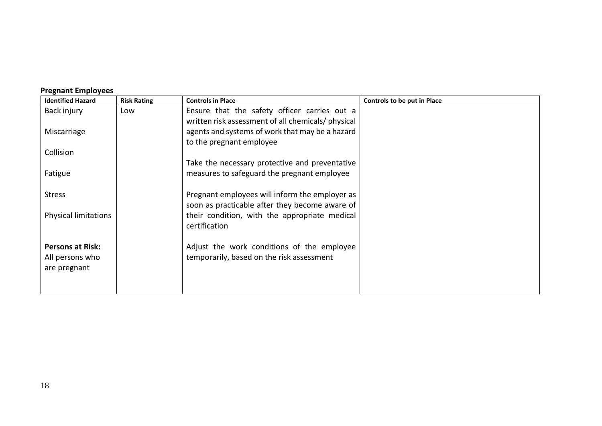| <b>Identified Hazard</b>    | <b>Risk Rating</b> | <b>Controls in Place</b>                           | <b>Controls to be put in Place</b> |
|-----------------------------|--------------------|----------------------------------------------------|------------------------------------|
| Back injury                 | Low                | Ensure that the safety officer carries out a       |                                    |
|                             |                    | written risk assessment of all chemicals/ physical |                                    |
| Miscarriage                 |                    | agents and systems of work that may be a hazard    |                                    |
|                             |                    | to the pregnant employee                           |                                    |
| Collision                   |                    |                                                    |                                    |
|                             |                    | Take the necessary protective and preventative     |                                    |
| Fatigue                     |                    | measures to safeguard the pregnant employee        |                                    |
|                             |                    |                                                    |                                    |
| <b>Stress</b>               |                    | Pregnant employees will inform the employer as     |                                    |
|                             |                    | soon as practicable after they become aware of     |                                    |
| <b>Physical limitations</b> |                    | their condition, with the appropriate medical      |                                    |
|                             |                    | certification                                      |                                    |
|                             |                    |                                                    |                                    |
| <b>Persons at Risk:</b>     |                    | Adjust the work conditions of the employee         |                                    |
| All persons who             |                    | temporarily, based on the risk assessment          |                                    |
| are pregnant                |                    |                                                    |                                    |
|                             |                    |                                                    |                                    |
|                             |                    |                                                    |                                    |

# **Pregnant Employees**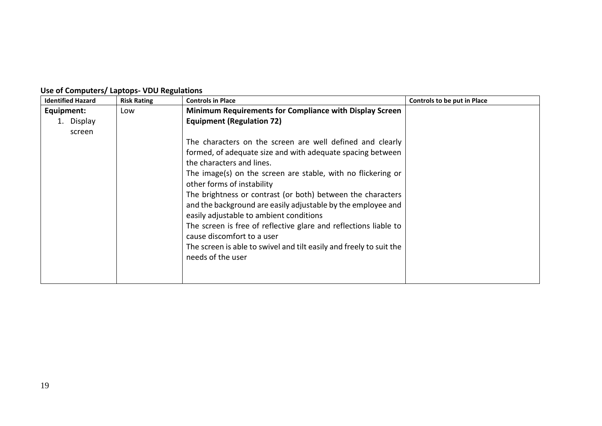| <b>Identified Hazard</b> | <b>Risk Rating</b> | <b>Controls in Place</b>                                                                                                                                               | Controls to be put in Place |
|--------------------------|--------------------|------------------------------------------------------------------------------------------------------------------------------------------------------------------------|-----------------------------|
| Equipment:               | Low                | Minimum Requirements for Compliance with Display Screen                                                                                                                |                             |
| Display                  |                    | <b>Equipment (Regulation 72)</b>                                                                                                                                       |                             |
| screen                   |                    |                                                                                                                                                                        |                             |
|                          |                    | The characters on the screen are well defined and clearly                                                                                                              |                             |
|                          |                    | formed, of adequate size and with adequate spacing between                                                                                                             |                             |
|                          |                    | the characters and lines.                                                                                                                                              |                             |
|                          |                    | The image(s) on the screen are stable, with no flickering or<br>other forms of instability                                                                             |                             |
|                          |                    | The brightness or contrast (or both) between the characters<br>and the background are easily adjustable by the employee and<br>easily adjustable to ambient conditions |                             |
|                          |                    | The screen is free of reflective glare and reflections liable to<br>cause discomfort to a user                                                                         |                             |
|                          |                    | The screen is able to swivel and tilt easily and freely to suit the<br>needs of the user                                                                               |                             |
|                          |                    |                                                                                                                                                                        |                             |

# **Use of Computers/ Laptops- VDU Regulations**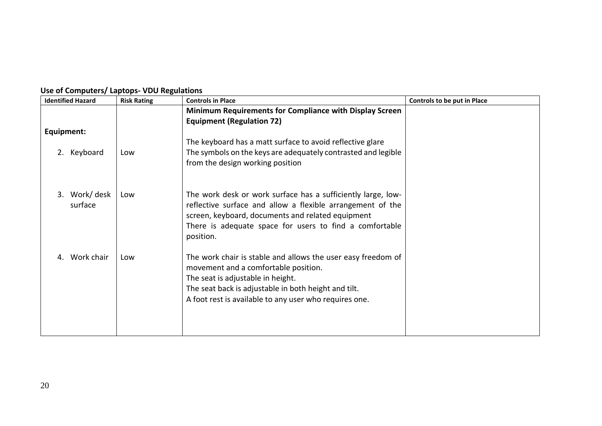| <b>Identified Hazard</b>     | <b>Risk Rating</b> | <b>Controls in Place</b>                                                                                                   | Controls to be put in Place |
|------------------------------|--------------------|----------------------------------------------------------------------------------------------------------------------------|-----------------------------|
|                              |                    | Minimum Requirements for Compliance with Display Screen<br><b>Equipment (Regulation 72)</b>                                |                             |
| Equipment:                   |                    |                                                                                                                            |                             |
|                              |                    | The keyboard has a matt surface to avoid reflective glare                                                                  |                             |
| 2. Keyboard                  | Low                | The symbols on the keys are adequately contrasted and legible                                                              |                             |
|                              |                    | from the design working position                                                                                           |                             |
|                              |                    |                                                                                                                            |                             |
| Work/ desk<br>$\mathbf{3}$ . | Low                |                                                                                                                            |                             |
| surface                      |                    | The work desk or work surface has a sufficiently large, low-<br>reflective surface and allow a flexible arrangement of the |                             |
|                              |                    | screen, keyboard, documents and related equipment                                                                          |                             |
|                              |                    | There is adequate space for users to find a comfortable                                                                    |                             |
|                              |                    | position.                                                                                                                  |                             |
|                              |                    |                                                                                                                            |                             |
| Work chair                   | Low                | The work chair is stable and allows the user easy freedom of                                                               |                             |
|                              |                    | movement and a comfortable position.                                                                                       |                             |
|                              |                    | The seat is adjustable in height.                                                                                          |                             |
|                              |                    | The seat back is adjustable in both height and tilt.                                                                       |                             |
|                              |                    | A foot rest is available to any user who requires one.                                                                     |                             |
|                              |                    |                                                                                                                            |                             |
|                              |                    |                                                                                                                            |                             |
|                              |                    |                                                                                                                            |                             |

# **Use of Computers/ Laptops- VDU Regulations**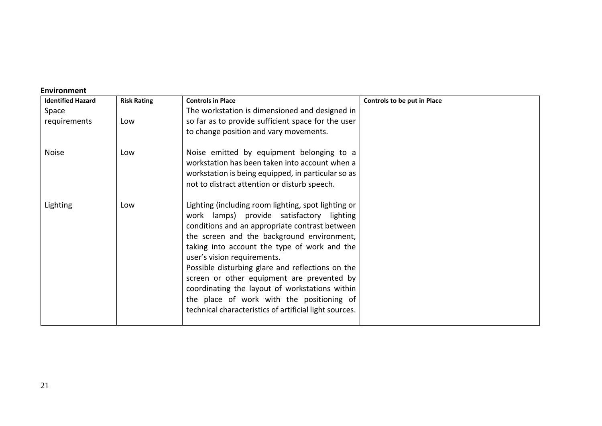#### **Environment**

| <b>Identified Hazard</b> | <b>Risk Rating</b> | <b>Controls in Place</b>                                                                                                                                                                                                                                                                                                                                                                                                                                                                                                                   | Controls to be put in Place |
|--------------------------|--------------------|--------------------------------------------------------------------------------------------------------------------------------------------------------------------------------------------------------------------------------------------------------------------------------------------------------------------------------------------------------------------------------------------------------------------------------------------------------------------------------------------------------------------------------------------|-----------------------------|
| Space                    |                    | The workstation is dimensioned and designed in                                                                                                                                                                                                                                                                                                                                                                                                                                                                                             |                             |
| requirements             | Low                | so far as to provide sufficient space for the user                                                                                                                                                                                                                                                                                                                                                                                                                                                                                         |                             |
|                          |                    | to change position and vary movements.                                                                                                                                                                                                                                                                                                                                                                                                                                                                                                     |                             |
| <b>Noise</b>             | Low                | Noise emitted by equipment belonging to a                                                                                                                                                                                                                                                                                                                                                                                                                                                                                                  |                             |
|                          |                    | workstation has been taken into account when a                                                                                                                                                                                                                                                                                                                                                                                                                                                                                             |                             |
|                          |                    | workstation is being equipped, in particular so as                                                                                                                                                                                                                                                                                                                                                                                                                                                                                         |                             |
|                          |                    | not to distract attention or disturb speech.                                                                                                                                                                                                                                                                                                                                                                                                                                                                                               |                             |
| Lighting                 | Low                | Lighting (including room lighting, spot lighting or<br>work lamps) provide satisfactory lighting<br>conditions and an appropriate contrast between<br>the screen and the background environment,<br>taking into account the type of work and the<br>user's vision requirements.<br>Possible disturbing glare and reflections on the<br>screen or other equipment are prevented by<br>coordinating the layout of workstations within<br>the place of work with the positioning of<br>technical characteristics of artificial light sources. |                             |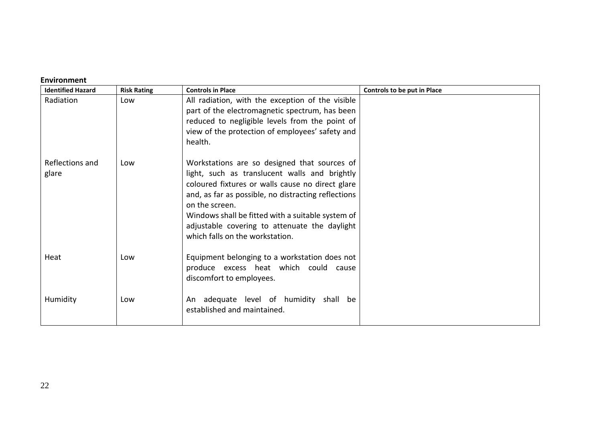#### **Environment**

| <b>Identified Hazard</b> | <b>Risk Rating</b> | <b>Controls in Place</b>                                                                                                                                                                                                                                                                                                                                            | <b>Controls to be put in Place</b> |
|--------------------------|--------------------|---------------------------------------------------------------------------------------------------------------------------------------------------------------------------------------------------------------------------------------------------------------------------------------------------------------------------------------------------------------------|------------------------------------|
| Radiation                | Low                | All radiation, with the exception of the visible<br>part of the electromagnetic spectrum, has been<br>reduced to negligible levels from the point of<br>view of the protection of employees' safety and<br>health.                                                                                                                                                  |                                    |
| Reflections and<br>glare | Low                | Workstations are so designed that sources of<br>light, such as translucent walls and brightly<br>coloured fixtures or walls cause no direct glare<br>and, as far as possible, no distracting reflections<br>on the screen.<br>Windows shall be fitted with a suitable system of<br>adjustable covering to attenuate the daylight<br>which falls on the workstation. |                                    |
| Heat                     | Low                | Equipment belonging to a workstation does not<br>produce excess heat which could cause<br>discomfort to employees.                                                                                                                                                                                                                                                  |                                    |
| Humidity                 | Low                | An adequate level of humidity shall be<br>established and maintained.                                                                                                                                                                                                                                                                                               |                                    |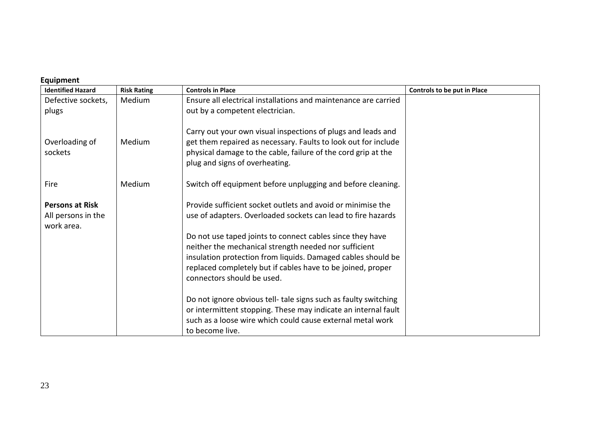#### **Equipment**

| <b>Identified Hazard</b>                                   | <b>Risk Rating</b> | <b>Controls in Place</b>                                                                                                                                                                                                                                                        | <b>Controls to be put in Place</b> |
|------------------------------------------------------------|--------------------|---------------------------------------------------------------------------------------------------------------------------------------------------------------------------------------------------------------------------------------------------------------------------------|------------------------------------|
| Defective sockets,                                         | Medium             | Ensure all electrical installations and maintenance are carried                                                                                                                                                                                                                 |                                    |
| plugs                                                      |                    | out by a competent electrician.                                                                                                                                                                                                                                                 |                                    |
| Overloading of<br>sockets                                  | Medium             | Carry out your own visual inspections of plugs and leads and<br>get them repaired as necessary. Faults to look out for include<br>physical damage to the cable, failure of the cord grip at the<br>plug and signs of overheating.                                               |                                    |
| Fire                                                       | Medium             | Switch off equipment before unplugging and before cleaning.                                                                                                                                                                                                                     |                                    |
| <b>Persons at Risk</b><br>All persons in the<br>work area. |                    | Provide sufficient socket outlets and avoid or minimise the<br>use of adapters. Overloaded sockets can lead to fire hazards                                                                                                                                                     |                                    |
|                                                            |                    | Do not use taped joints to connect cables since they have<br>neither the mechanical strength needed nor sufficient<br>insulation protection from liquids. Damaged cables should be<br>replaced completely but if cables have to be joined, proper<br>connectors should be used. |                                    |
|                                                            |                    | Do not ignore obvious tell- tale signs such as faulty switching<br>or intermittent stopping. These may indicate an internal fault<br>such as a loose wire which could cause external metal work<br>to become live.                                                              |                                    |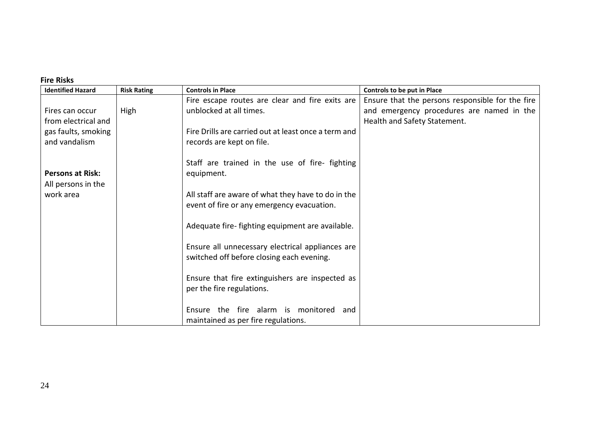# **Fire Risks**

| <b>Identified Hazard</b>                      | <b>Risk Rating</b> | <b>Controls in Place</b>                                                     | Controls to be put in Place                      |
|-----------------------------------------------|--------------------|------------------------------------------------------------------------------|--------------------------------------------------|
|                                               |                    | Fire escape routes are clear and fire exits are                              | Ensure that the persons responsible for the fire |
| Fires can occur                               | High               | unblocked at all times.                                                      | and emergency procedures are named in the        |
| from electrical and                           |                    |                                                                              | Health and Safety Statement.                     |
| gas faults, smoking                           |                    | Fire Drills are carried out at least once a term and                         |                                                  |
| and vandalism                                 |                    | records are kept on file.                                                    |                                                  |
| <b>Persons at Risk:</b><br>All persons in the |                    | Staff are trained in the use of fire- fighting<br>equipment.                 |                                                  |
| work area                                     |                    | All staff are aware of what they have to do in the                           |                                                  |
|                                               |                    | event of fire or any emergency evacuation.                                   |                                                  |
|                                               |                    | Adequate fire-fighting equipment are available.                              |                                                  |
|                                               |                    | Ensure all unnecessary electrical appliances are                             |                                                  |
|                                               |                    | switched off before closing each evening.                                    |                                                  |
|                                               |                    | Ensure that fire extinguishers are inspected as<br>per the fire regulations. |                                                  |
|                                               |                    | Ensure the fire alarm is monitored<br>and                                    |                                                  |
|                                               |                    | maintained as per fire regulations.                                          |                                                  |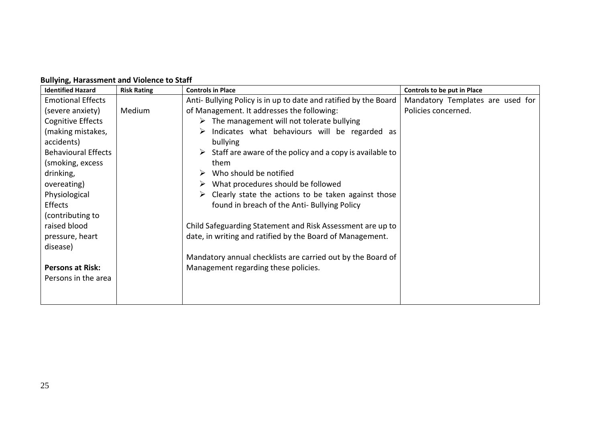| <b>Identified Hazard</b>   | <b>Risk Rating</b> | <b>Controls in Place</b>                                                  | Controls to be put in Place      |
|----------------------------|--------------------|---------------------------------------------------------------------------|----------------------------------|
| <b>Emotional Effects</b>   |                    | Anti- Bullying Policy is in up to date and ratified by the Board          | Mandatory Templates are used for |
| (severe anxiety)           | Medium             | of Management. It addresses the following:                                | Policies concerned.              |
| Cognitive Effects          |                    | $\triangleright$ The management will not tolerate bullying                |                                  |
| (making mistakes,          |                    | Indicates what behaviours will be regarded as<br>➤                        |                                  |
| accidents)                 |                    | bullying                                                                  |                                  |
| <b>Behavioural Effects</b> |                    | $\triangleright$ Staff are aware of the policy and a copy is available to |                                  |
| (smoking, excess           |                    | them                                                                      |                                  |
| drinking,                  |                    | Who should be notified<br>➤                                               |                                  |
| overeating)                |                    | What procedures should be followed<br>➤                                   |                                  |
| Physiological              |                    | Clearly state the actions to be taken against those<br>➤                  |                                  |
| Effects                    |                    | found in breach of the Anti- Bullying Policy                              |                                  |
| (contributing to           |                    |                                                                           |                                  |
| raised blood               |                    | Child Safeguarding Statement and Risk Assessment are up to                |                                  |
| pressure, heart            |                    | date, in writing and ratified by the Board of Management.                 |                                  |
| disease)                   |                    |                                                                           |                                  |
|                            |                    | Mandatory annual checklists are carried out by the Board of               |                                  |
| <b>Persons at Risk:</b>    |                    | Management regarding these policies.                                      |                                  |
| Persons in the area        |                    |                                                                           |                                  |
|                            |                    |                                                                           |                                  |
|                            |                    |                                                                           |                                  |

#### **Bullying, Harassment and Violence to Staff**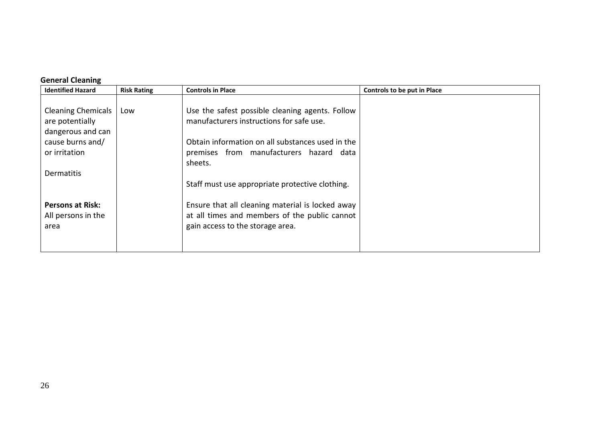# **General Cleaning**

| <b>Identified Hazard</b>                                                                               | <b>Risk Rating</b> | <b>Controls in Place</b>                                                                                                                                                                              | Controls to be put in Place |
|--------------------------------------------------------------------------------------------------------|--------------------|-------------------------------------------------------------------------------------------------------------------------------------------------------------------------------------------------------|-----------------------------|
| <b>Cleaning Chemicals</b><br>are potentially<br>dangerous and can<br>cause burns and/<br>or irritation | Low                | Use the safest possible cleaning agents. Follow<br>manufacturers instructions for safe use.<br>Obtain information on all substances used in the<br>premises from manufacturers hazard data<br>sheets. |                             |
| <b>Dermatitis</b>                                                                                      |                    |                                                                                                                                                                                                       |                             |
| <b>Persons at Risk:</b><br>All persons in the<br>area                                                  |                    | Staff must use appropriate protective clothing.<br>Ensure that all cleaning material is locked away<br>at all times and members of the public cannot<br>gain access to the storage area.              |                             |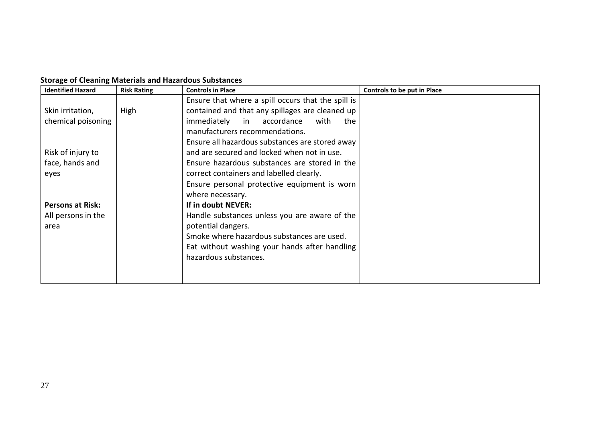| <b>Storage of Cleaning Materials and Hazardous Substances</b> |  |  |  |
|---------------------------------------------------------------|--|--|--|
|---------------------------------------------------------------|--|--|--|

| <b>Identified Hazard</b> | <b>Risk Rating</b> | <b>Controls in Place</b>                           | Controls to be put in Place |
|--------------------------|--------------------|----------------------------------------------------|-----------------------------|
|                          |                    | Ensure that where a spill occurs that the spill is |                             |
| Skin irritation,         | High               | contained and that any spillages are cleaned up    |                             |
| chemical poisoning       |                    | immediately in accordance<br>with<br>the           |                             |
|                          |                    | manufacturers recommendations.                     |                             |
|                          |                    | Ensure all hazardous substances are stored away    |                             |
| Risk of injury to        |                    | and are secured and locked when not in use.        |                             |
| face, hands and          |                    | Ensure hazardous substances are stored in the      |                             |
| eyes                     |                    | correct containers and labelled clearly.           |                             |
|                          |                    | Ensure personal protective equipment is worn       |                             |
|                          |                    | where necessary.                                   |                             |
| <b>Persons at Risk:</b>  |                    | If in doubt NEVER:                                 |                             |
| All persons in the       |                    | Handle substances unless you are aware of the      |                             |
| area                     |                    | potential dangers.                                 |                             |
|                          |                    | Smoke where hazardous substances are used.         |                             |
|                          |                    | Eat without washing your hands after handling      |                             |
|                          |                    | hazardous substances.                              |                             |
|                          |                    |                                                    |                             |
|                          |                    |                                                    |                             |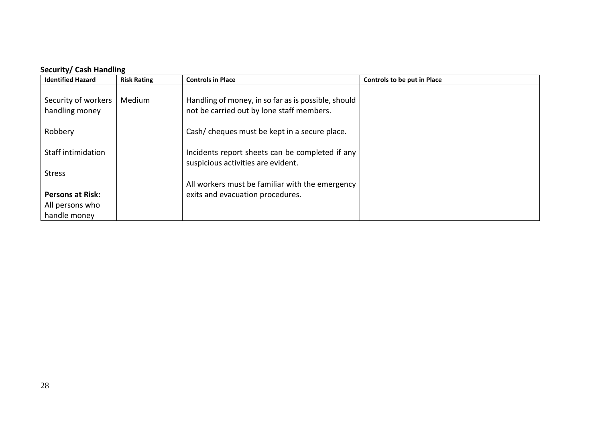# **Security/ Cash Handling**

| <b>Identified Hazard</b>              | <b>Risk Rating</b> | <b>Controls in Place</b>                                                                         | Controls to be put in Place |
|---------------------------------------|--------------------|--------------------------------------------------------------------------------------------------|-----------------------------|
| Security of workers<br>handling money | Medium             | Handling of money, in so far as is possible, should<br>not be carried out by lone staff members. |                             |
| Robbery                               |                    | Cash/ cheques must be kept in a secure place.                                                    |                             |
| <b>Staff intimidation</b>             |                    | Incidents report sheets can be completed if any<br>suspicious activities are evident.            |                             |
| <b>Stress</b>                         |                    |                                                                                                  |                             |
|                                       |                    | All workers must be familiar with the emergency                                                  |                             |
| <b>Persons at Risk:</b>               |                    | exits and evacuation procedures.                                                                 |                             |
| All persons who                       |                    |                                                                                                  |                             |
| handle money                          |                    |                                                                                                  |                             |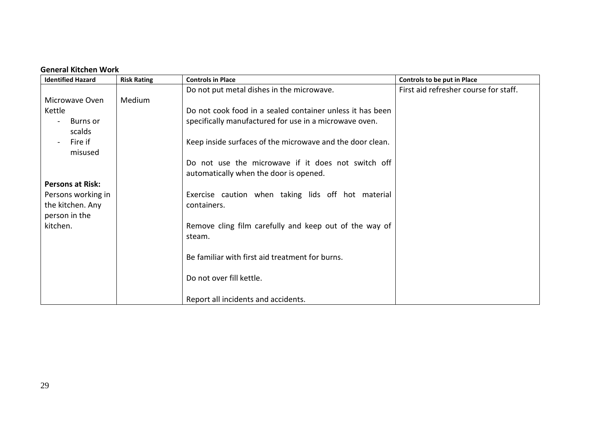#### **General Kitchen Work**

| <b>Identified Hazard</b> | <b>Risk Rating</b> | <b>Controls in Place</b>                                  | Controls to be put in Place           |
|--------------------------|--------------------|-----------------------------------------------------------|---------------------------------------|
|                          |                    | Do not put metal dishes in the microwave.                 | First aid refresher course for staff. |
| Microwave Oven           | Medium             |                                                           |                                       |
| Kettle                   |                    | Do not cook food in a sealed container unless it has been |                                       |
| Burns or                 |                    | specifically manufactured for use in a microwave oven.    |                                       |
| scalds                   |                    |                                                           |                                       |
| Fire if                  |                    | Keep inside surfaces of the microwave and the door clean. |                                       |
| misused                  |                    |                                                           |                                       |
|                          |                    | Do not use the microwave if it does not switch off        |                                       |
|                          |                    | automatically when the door is opened.                    |                                       |
| <b>Persons at Risk:</b>  |                    |                                                           |                                       |
| Persons working in       |                    | Exercise caution when taking lids off hot material        |                                       |
| the kitchen. Any         |                    | containers.                                               |                                       |
| person in the            |                    |                                                           |                                       |
| kitchen.                 |                    | Remove cling film carefully and keep out of the way of    |                                       |
|                          |                    | steam.                                                    |                                       |
|                          |                    |                                                           |                                       |
|                          |                    | Be familiar with first aid treatment for burns.           |                                       |
|                          |                    |                                                           |                                       |
|                          |                    | Do not over fill kettle.                                  |                                       |
|                          |                    |                                                           |                                       |
|                          |                    | Report all incidents and accidents.                       |                                       |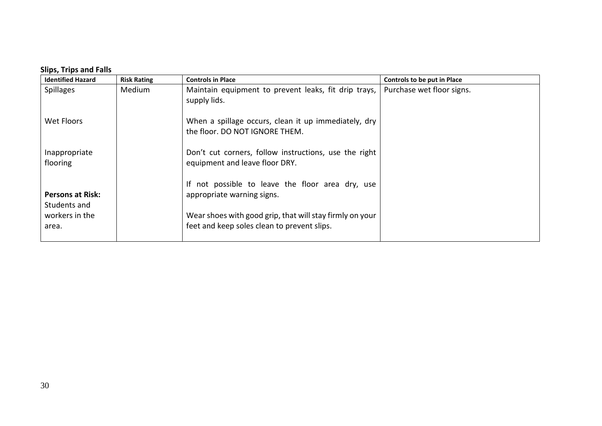### **Slips, Trips and Falls**

| <b>Identified Hazard</b> | <b>Risk Rating</b> | <b>Controls in Place</b>                                 | Controls to be put in Place |
|--------------------------|--------------------|----------------------------------------------------------|-----------------------------|
| <b>Spillages</b>         | Medium             | Maintain equipment to prevent leaks, fit drip trays,     | Purchase wet floor signs.   |
|                          |                    | supply lids.                                             |                             |
|                          |                    |                                                          |                             |
| Wet Floors               |                    | When a spillage occurs, clean it up immediately, dry     |                             |
|                          |                    | the floor. DO NOT IGNORE THEM.                           |                             |
|                          |                    |                                                          |                             |
| Inappropriate            |                    | Don't cut corners, follow instructions, use the right    |                             |
| flooring                 |                    | equipment and leave floor DRY.                           |                             |
|                          |                    |                                                          |                             |
|                          |                    | If not possible to leave the floor area dry, use         |                             |
| <b>Persons at Risk:</b>  |                    | appropriate warning signs.                               |                             |
| Students and             |                    |                                                          |                             |
| workers in the           |                    | Wear shoes with good grip, that will stay firmly on your |                             |
| area.                    |                    | feet and keep soles clean to prevent slips.              |                             |
|                          |                    |                                                          |                             |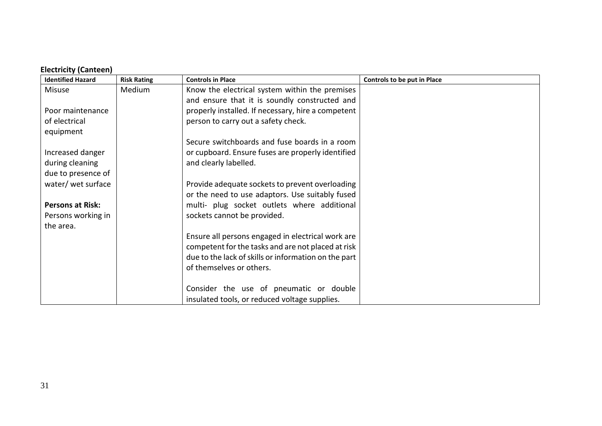# **Electricity (Canteen)**

| <b>Identified Hazard</b> | <b>Risk Rating</b> | <b>Controls in Place</b>                             | Controls to be put in Place |
|--------------------------|--------------------|------------------------------------------------------|-----------------------------|
| <b>Misuse</b>            | Medium             | Know the electrical system within the premises       |                             |
|                          |                    | and ensure that it is soundly constructed and        |                             |
| Poor maintenance         |                    | properly installed. If necessary, hire a competent   |                             |
| of electrical            |                    | person to carry out a safety check.                  |                             |
| equipment                |                    |                                                      |                             |
|                          |                    | Secure switchboards and fuse boards in a room        |                             |
| Increased danger         |                    | or cupboard. Ensure fuses are properly identified    |                             |
| during cleaning          |                    | and clearly labelled.                                |                             |
| due to presence of       |                    |                                                      |                             |
| water/ wet surface       |                    | Provide adequate sockets to prevent overloading      |                             |
|                          |                    | or the need to use adaptors. Use suitably fused      |                             |
| <b>Persons at Risk:</b>  |                    | multi- plug socket outlets where additional          |                             |
| Persons working in       |                    | sockets cannot be provided.                          |                             |
| the area.                |                    |                                                      |                             |
|                          |                    | Ensure all persons engaged in electrical work are    |                             |
|                          |                    | competent for the tasks and are not placed at risk   |                             |
|                          |                    | due to the lack of skills or information on the part |                             |
|                          |                    | of themselves or others.                             |                             |
|                          |                    |                                                      |                             |
|                          |                    | Consider the use of pneumatic or double              |                             |
|                          |                    | insulated tools, or reduced voltage supplies.        |                             |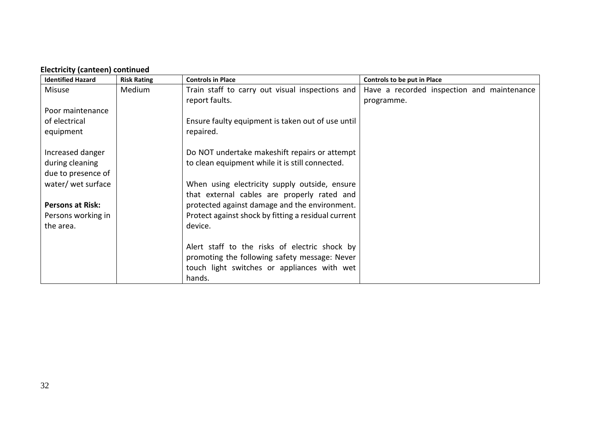| <b>Identified Hazard</b> | <b>Risk Rating</b> | <b>Controls in Place</b>                            | <b>Controls to be put in Place</b>         |
|--------------------------|--------------------|-----------------------------------------------------|--------------------------------------------|
| <b>Misuse</b>            | Medium             | Train staff to carry out visual inspections and     | Have a recorded inspection and maintenance |
|                          |                    | report faults.                                      | programme.                                 |
| Poor maintenance         |                    |                                                     |                                            |
| of electrical            |                    | Ensure faulty equipment is taken out of use until   |                                            |
| equipment                |                    | repaired.                                           |                                            |
|                          |                    |                                                     |                                            |
| Increased danger         |                    | Do NOT undertake makeshift repairs or attempt       |                                            |
| during cleaning          |                    | to clean equipment while it is still connected.     |                                            |
| due to presence of       |                    |                                                     |                                            |
| water/ wet surface       |                    | When using electricity supply outside, ensure       |                                            |
|                          |                    | that external cables are properly rated and         |                                            |
| <b>Persons at Risk:</b>  |                    | protected against damage and the environment.       |                                            |
| Persons working in       |                    | Protect against shock by fitting a residual current |                                            |
| the area.                |                    | device.                                             |                                            |
|                          |                    |                                                     |                                            |
|                          |                    | Alert staff to the risks of electric shock by       |                                            |
|                          |                    | promoting the following safety message: Never       |                                            |
|                          |                    | touch light switches or appliances with wet         |                                            |
|                          |                    | hands.                                              |                                            |

# **Electricity (canteen) continued**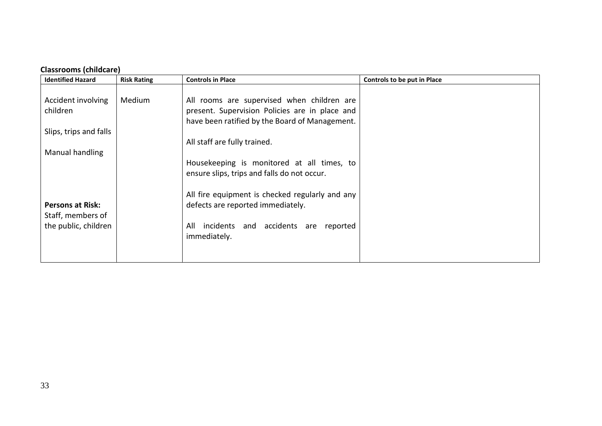# **Classrooms (childcare)**

| <b>Identified Hazard</b>                                 | <b>Risk Rating</b> | <b>Controls in Place</b>                                                                                                                       | Controls to be put in Place |
|----------------------------------------------------------|--------------------|------------------------------------------------------------------------------------------------------------------------------------------------|-----------------------------|
| Accident involving<br>children<br>Slips, trips and falls | Medium             | All rooms are supervised when children are<br>present. Supervision Policies are in place and<br>have been ratified by the Board of Management. |                             |
| Manual handling                                          |                    | All staff are fully trained.                                                                                                                   |                             |
|                                                          |                    | Housekeeping is monitored at all times, to<br>ensure slips, trips and falls do not occur.                                                      |                             |
| <b>Persons at Risk:</b><br>Staff, members of             |                    | All fire equipment is checked regularly and any<br>defects are reported immediately.                                                           |                             |
| the public, children                                     |                    | incidents and accidents<br>All<br>reported<br>are<br>immediately.                                                                              |                             |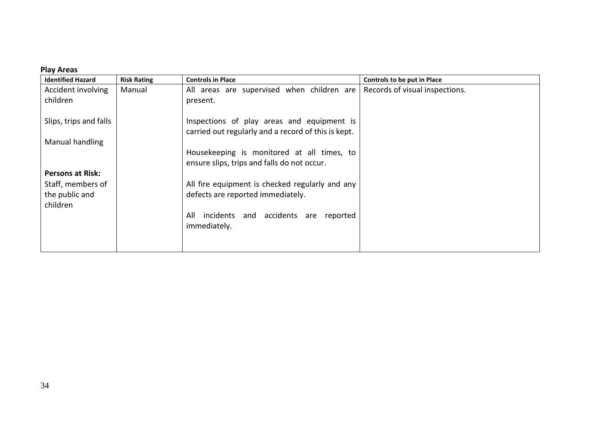#### **Play Areas**

| <b>Identified Hazard</b>   | <b>Risk Rating</b> | <b>Controls in Place</b>                                                                          | Controls to be put in Place    |
|----------------------------|--------------------|---------------------------------------------------------------------------------------------------|--------------------------------|
| Accident involving         | Manual             | All areas are supervised when children are                                                        | Records of visual inspections. |
| children                   |                    | present.                                                                                          |                                |
| Slips, trips and falls     |                    | Inspections of play areas and equipment is<br>carried out regularly and a record of this is kept. |                                |
| Manual handling            |                    |                                                                                                   |                                |
|                            |                    | Housekeeping is monitored at all times, to<br>ensure slips, trips and falls do not occur.         |                                |
| <b>Persons at Risk:</b>    |                    |                                                                                                   |                                |
| Staff, members of          |                    | All fire equipment is checked regularly and any                                                   |                                |
| the public and<br>children |                    | defects are reported immediately.                                                                 |                                |
|                            |                    | incidents and accidents<br>All<br>reported<br>are<br>immediately.                                 |                                |
|                            |                    |                                                                                                   |                                |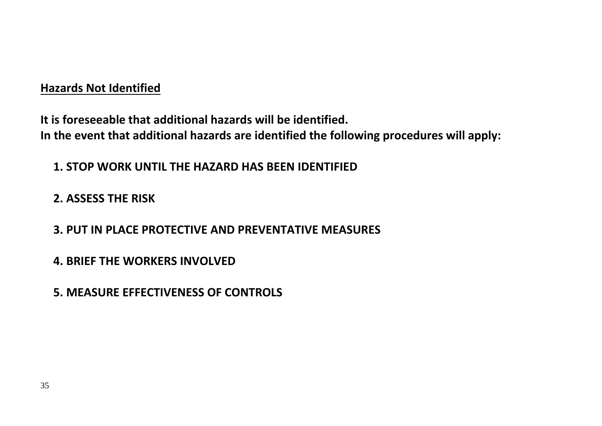# **Hazards Not Identified**

**It is foreseeable that additional hazards will be identified. In the event that additional hazards are identified the following procedures will apply:**

**1. STOP WORK UNTIL THE HAZARD HAS BEEN IDENTIFIED**

**2. ASSESS THE RISK**

**3. PUT IN PLACE PROTECTIVE AND PREVENTATIVE MEASURES**

**4. BRIEF THE WORKERS INVOLVED**

**5. MEASURE EFFECTIVENESS OF CONTROLS**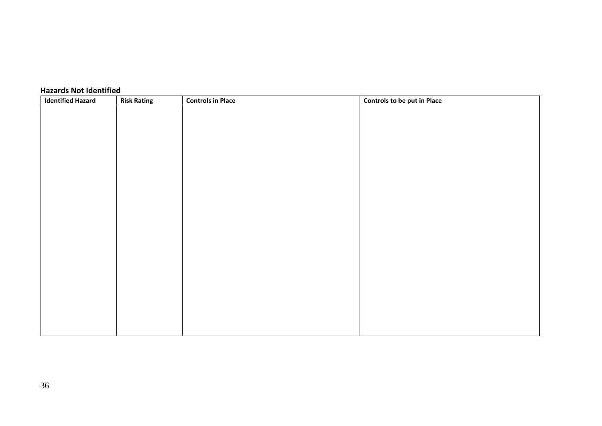| <b>Identified Hazard</b><br><b>Risk Rating</b> | <b>Controls in Place</b> | Controls to be put in Place |
|------------------------------------------------|--------------------------|-----------------------------|
|                                                |                          |                             |
|                                                |                          |                             |
|                                                |                          |                             |
|                                                |                          |                             |
|                                                |                          |                             |
|                                                |                          |                             |
|                                                |                          |                             |
|                                                |                          |                             |
|                                                |                          |                             |
|                                                |                          |                             |
|                                                |                          |                             |
|                                                |                          |                             |
|                                                |                          |                             |
|                                                |                          |                             |
|                                                |                          |                             |
|                                                |                          |                             |
|                                                |                          |                             |
|                                                |                          |                             |
|                                                |                          |                             |
|                                                |                          |                             |
|                                                |                          |                             |
|                                                |                          |                             |
|                                                |                          |                             |

# **Hazards Not Identified**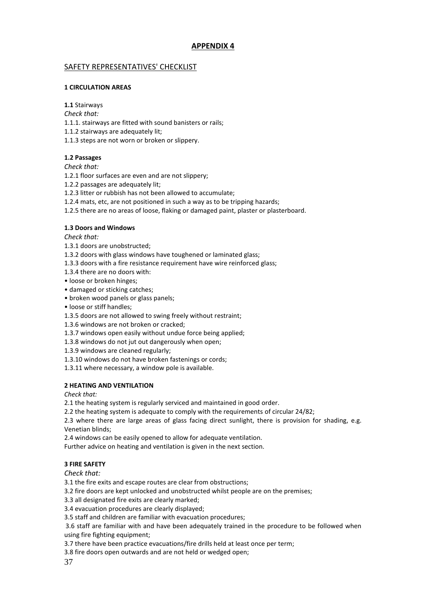#### **APPENDIX 4**

#### SAFETY REPRESENTATIVES' CHECKLIST

#### **1 CIRCULATION AREAS**

**1.1** Stairways

*Check that:*

1.1.1. stairways are fitted with sound banisters or rails;

1.1.2 stairways are adequately lit;

1.1.3 steps are not worn or broken or slippery.

#### **1.2 Passages**

*Check that:*

1.2.1 floor surfaces are even and are not slippery;

1.2.2 passages are adequately lit;

1.2.3 litter or rubbish has not been allowed to accumulate;

1.2.4 mats, etc, are not positioned in such a way as to be tripping hazards;

1.2.5 there are no areas of loose, flaking or damaged paint, plaster or plasterboard.

#### **1.3 Doors and Windows**

*Check that:*

1.3.1 doors are unobstructed;

1.3.2 doors with glass windows have toughened or laminated glass;

- 1.3.3 doors with a fire resistance requirement have wire reinforced glass;
- 1.3.4 there are no doors with:
- loose or broken hinges;
- damaged or sticking catches;
- broken wood panels or glass panels;
- loose or stiff handles;
- 1.3.5 doors are not allowed to swing freely without restraint;

1.3.6 windows are not broken or cracked;

1.3.7 windows open easily without undue force being applied;

1.3.8 windows do not jut out dangerously when open;

1.3.9 windows are cleaned regularly;

1.3.10 windows do not have broken fastenings or cords;

1.3.11 where necessary, a window pole is available.

#### **2 HEATING AND VENTILATION**

*Check that:*

2.1 the heating system is regularly serviced and maintained in good order.

2.2 the heating system is adequate to comply with the requirements of circular 24/82;

2.3 where there are large areas of glass facing direct sunlight, there is provision for shading, e.g. Venetian blinds;

2.4 windows can be easily opened to allow for adequate ventilation.

Further advice on heating and ventilation is given in the next section.

#### **3 FIRE SAFETY**

*Check that:*

3.1 the fire exits and escape routes are clear from obstructions;

3.2 fire doors are kept unlocked and unobstructed whilst people are on the premises;

3.3 all designated fire exits are clearly marked;

3.4 evacuation procedures are clearly displayed;

3.5 staff and children are familiar with evacuation procedures;

3.6 staff are familiar with and have been adequately trained in the procedure to be followed when using fire fighting equipment;

3.7 there have been practice evacuations/fire drills held at least once per term;

3.8 fire doors open outwards and are not held or wedged open;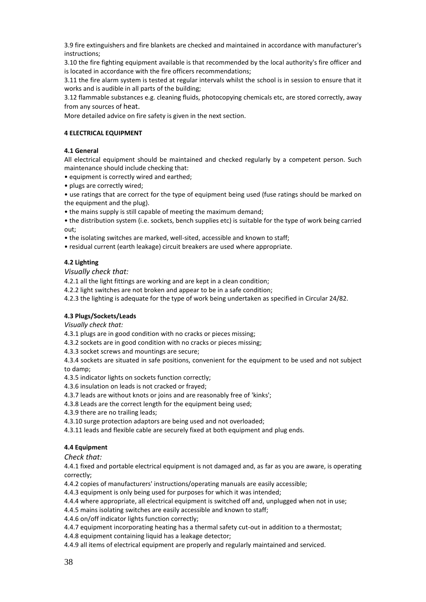3.9 fire extinguishers and fire blankets are checked and maintained in accordance with manufacturer's instructions;

3.10 the fire fighting equipment available is that recommended by the local authority's fire officer and is located in accordance with the fire officers recommendations;

3.11 the fire alarm system is tested at regular intervals whilst the school is in session to ensure that it works and is audible in all parts of the building;

3.12 flammable substances e.g. cleaning fluids, photocopying chemicals etc, are stored correctly, away from any sources of heat.

More detailed advice on fire safety is given in the next section.

#### **4 ELECTRICAL EQUIPMENT**

#### **4.1 General**

All electrical equipment should be maintained and checked regularly by a competent person. Such maintenance should include checking that:

• equipment is correctly wired and earthed;

• plugs are correctly wired;

• use ratings that are correct for the type of equipment being used (fuse ratings should be marked on the equipment and the plug).

• the mains supply is still capable of meeting the maximum demand;

• the distribution system (i.e. sockets, bench supplies etc) is suitable for the type of work being carried out;

• the isolating switches are marked, well-sited, accessible and known to staff;

• residual current (earth leakage) circuit breakers are used where appropriate.

#### **4.2 Lighting**

*Visually check that:*

4.2.1 all the light fittings are working and are kept in a clean condition;

4.2.2 light switches are not broken and appear to be in a safe condition;

4.2.3 the lighting is adequate for the type of work being undertaken as specified in Circular 24/82.

#### **4.3 Plugs/Sockets/Leads**

*Visually check that:*

4.3.1 plugs are in good condition with no cracks or pieces missing;

4.3.2 sockets are in good condition with no cracks or pieces missing;

4.3.3 socket screws and mountings are secure;

4.3.4 sockets are situated in safe positions, convenient for the equipment to be used and not subject to damp;

4.3.5 indicator lights on sockets function correctly;

4.3.6 insulation on leads is not cracked or frayed;

4.3.7 leads are without knots or joins and are reasonably free of 'kinks';

4.3.8 Leads are the correct length for the equipment being used;

4.3.9 there are no trailing leads;

4.3.10 surge protection adaptors are being used and not overloaded;

4.3.11 leads and flexible cable are securely fixed at both equipment and plug ends.

#### **4.4 Equipment**

*Check that:*

4.4.1 fixed and portable electrical equipment is not damaged and, as far as you are aware, is operating correctly;

4.4.2 copies of manufacturers' instructions/operating manuals are easily accessible;

4.4.3 equipment is only being used for purposes for which it was intended;

4.4.4 where appropriate, all electrical equipment is switched off and, unplugged when not in use;

4.4.5 mains isolating switches are easily accessible and known to staff;

4.4.6 on/off indicator lights function correctly;

4.4.7 equipment incorporating heating has a thermal safety cut-out in addition to a thermostat;

4.4.8 equipment containing liquid has a leakage detector;

4.4.9 all items of electrical equipment are properly and regularly maintained and serviced.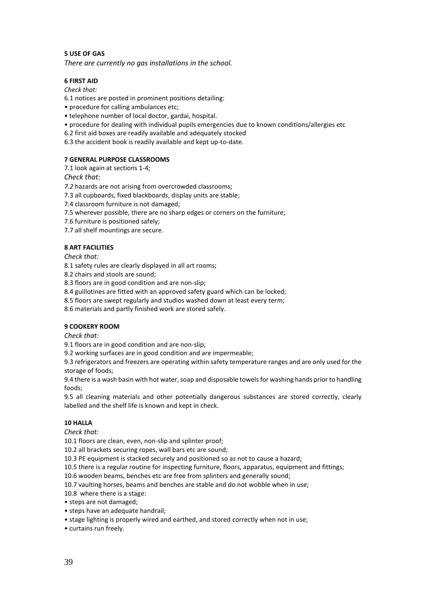#### **5 USE OF GAS**

*There are currently no gas installations in the school.*

#### **6 FIRST AID**

*Check that:*

6.1 notices are posted in prominent positions detailing:

- procedure for calling ambulances etc;
- telephone number of local doctor, gardai, hospital.
- procedure for dealing with individual pupils emergencies due to known conditions/allergies etc

6.2 first aid boxes are readily available and adequately stocked

6.3 the accident book is readily available and kept up-to-date.

#### **7 GENERAL PURPOSE CLASSROOMS**

7.1 look again at sections 1-4;

*Check that:*

*7.2* hazards are not arising from overcrowded classrooms;

7.3 all cupboards, fixed blackboards, display units are stable;

7.4 classroom furniture is not damaged;

7.5 wherever possible, there are no sharp edges or corners on the furniture;

7.6 furniture is positioned safely;

7.7 all shelf mountings are secure.

#### **8 ART FACILITIES**

*Check that:*

8.1 safety rules are clearly displayed in all art rooms;

8.2 chairs and stools are sound;

8.3 floors are in good condition and are non-slip;

8.4 guillotines are fitted with an approved safety guard which can be locked;

8.5 floors are swept regularly and studios washed down at least every term;

8.6 materials and partly finished work are stored safely.

#### **9 COOKERY ROOM**

*Check that:*

9.1 floors are in good condition and are non-slip;

9.2 working surfaces are in good condition and are impermeable;

9.3 refrigerators and freezers are operating within safety temperature ranges and are only used for the storage of foods;

9.4 there is a wash basin with hot water, soap and disposable towels for washing hands prior to handling foods;

9.5 all cleaning materials and other potentially dangerous substances are stored correctly, clearly labelled and the shelf life is known and kept in check.

#### **10 HALLA**

*Check that:*

10.1 floors are clean, even, non-slip and splinter proof;

10.2 all brackets securing ropes, wall bars etc are sound;

10.3 PE equipment is stacked securely and positioned so as not to cause a hazard;

10.5 there is a regular routine for inspecting furniture, floors, apparatus, equipment and fittings;

10.6 wooden beams, benches etc are free from splinters and generally sound;

10.7 vaulting horses, beams and benches are stable and do not wobble when in use;

10.8 where there is a stage:

- steps are not damaged;
- steps have an adequate handrail;
- stage lighting is properly wired and earthed, and stored correctly when not in use;

• curtains run freely.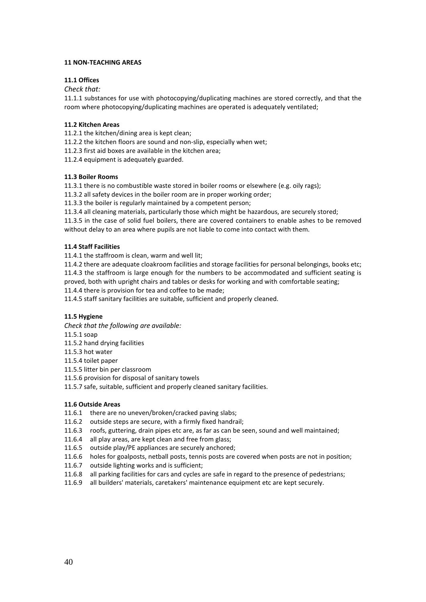#### **11 NON-TEACHING AREAS**

#### **11.1 Offices**

#### *Check that:*

11.1.1 substances for use with photocopying/duplicating machines are stored correctly, and that the room where photocopying/duplicating machines are operated is adequately ventilated;

#### **11.2 Kitchen Areas**

- 11.2.1 the kitchen/dining area is kept clean;
- 11.2.2 the kitchen floors are sound and non-slip, especially when wet;
- 11.2.3 first aid boxes are available in the kitchen area;
- 11.2.4 equipment is adequately guarded.

#### **11.3 Boiler Rooms**

11.3.1 there is no combustible waste stored in boiler rooms or elsewhere (e.g. oily rags);

11.3.2 all safety devices in the boiler room are in proper working order;

11.3.3 the boiler is regularly maintained by a competent person;

11.3.4 all cleaning materials, particularly those which might be hazardous, are securely stored;

11.3.5 in the case of solid fuel boilers, there are covered containers to enable ashes to be removed without delay to an area where pupils are not liable to come into contact with them.

#### **11.4 Staff Facilities**

11.4.1 the staffroom is clean, warm and well lit;

11.4.2 there are adequate cloakroom facilities and storage facilities for personal belongings, books etc; 11.4.3 the staffroom is large enough for the numbers to be accommodated and sufficient seating is proved, both with upright chairs and tables or desks for working and with comfortable seating;

11.4.4 there is provision for tea and coffee to be made;

11.4.5 staff sanitary facilities are suitable, sufficient and properly cleaned.

#### **11.5 Hygiene**

*Check that the following are available:*

11.5.1 soap

- 11.5.2 hand drying facilities
- 11.5.3 hot water

11.5.4 toilet paper

- 11.5.5 litter bin per classroom
- 11.5.6 provision for disposal of sanitary towels
- 11.5.7 safe, suitable, sufficient and properly cleaned sanitary facilities.

#### **11.6 Outside Areas**

- 11.6.1 there are no uneven/broken/cracked paving slabs;
- 11.6.2 outside steps are secure, with a firmly fixed handrail;
- 11.6.3 roofs, guttering, drain pipes etc are, as far as can be seen, sound and well maintained;
- 11.6.4 all play areas, are kept clean and free from glass;
- 11.6.5 outside play/PE appliances are securely anchored;
- 11.6.6 holes for goalposts, netball posts, tennis posts are covered when posts are not in position;
- 11.6.7 outside lighting works and is sufficient;
- 11.6.8 all parking facilities for cars and cycles are safe in regard to the presence of pedestrians;
- 11.6.9 all builders' materials, caretakers' maintenance equipment etc are kept securely.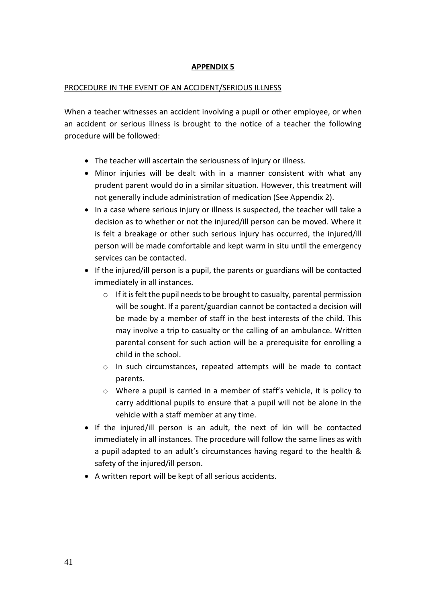### **APPENDIX 5**

#### PROCEDURE IN THE EVENT OF AN ACCIDENT/SERIOUS ILLNESS

When a teacher witnesses an accident involving a pupil or other employee, or when an accident or serious illness is brought to the notice of a teacher the following procedure will be followed:

- The teacher will ascertain the seriousness of injury or illness.
- Minor injuries will be dealt with in a manner consistent with what any prudent parent would do in a similar situation. However, this treatment will not generally include administration of medication (See Appendix 2).
- In a case where serious injury or illness is suspected, the teacher will take a decision as to whether or not the injured/ill person can be moved. Where it is felt a breakage or other such serious injury has occurred, the injured/ill person will be made comfortable and kept warm in situ until the emergency services can be contacted.
- If the injured/ill person is a pupil, the parents or guardians will be contacted immediately in all instances.
	- $\circ$  If it is felt the pupil needs to be brought to casualty, parental permission will be sought. If a parent/guardian cannot be contacted a decision will be made by a member of staff in the best interests of the child. This may involve a trip to casualty or the calling of an ambulance. Written parental consent for such action will be a prerequisite for enrolling a child in the school.
	- o In such circumstances, repeated attempts will be made to contact parents.
	- o Where a pupil is carried in a member of staff's vehicle, it is policy to carry additional pupils to ensure that a pupil will not be alone in the vehicle with a staff member at any time.
- If the injured/ill person is an adult, the next of kin will be contacted immediately in all instances. The procedure will follow the same lines as with a pupil adapted to an adult's circumstances having regard to the health & safety of the injured/ill person.
- A written report will be kept of all serious accidents.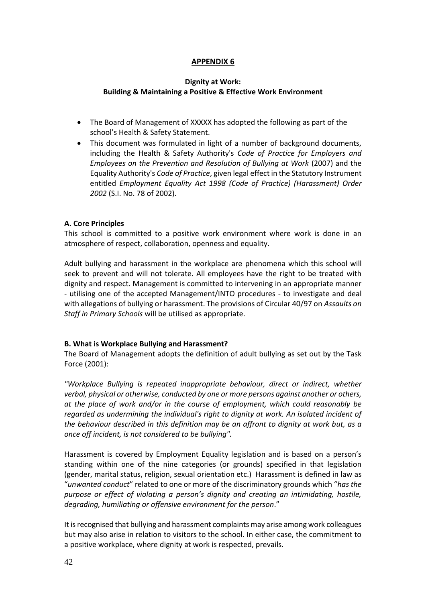#### **APPENDIX 6**

#### **Dignity at Work: Building & Maintaining a Positive & Effective Work Environment**

- The Board of Management of XXXXX has adopted the following as part of the school's Health & Safety Statement.
- This document was formulated in light of a number of background documents, including the Health & Safety Authority's *Code of Practice for Employers and Employees on the Prevention and Resolution of Bullying at Work* (2007) and the Equality Authority's *Code of Practice*, given legal effect in the Statutory Instrument entitled *Employment Equality Act 1998 (Code of Practice) (Harassment) Order 2002* (S.I. No. 78 of 2002).

#### **A. Core Principles**

This school is committed to a positive work environment where work is done in an atmosphere of respect, collaboration, openness and equality.

Adult bullying and harassment in the workplace are phenomena which this school will seek to prevent and will not tolerate. All employees have the right to be treated with dignity and respect. Management is committed to intervening in an appropriate manner - utilising one of the accepted Management/INTO procedures - to investigate and deal with allegations of bullying or harassment. The provisions of Circular 40/97 on *Assaults on Staff in Primary Schools* will be utilised as appropriate.

#### **B. What is Workplace Bullying and Harassment?**

The Board of Management adopts the definition of adult bullying as set out by the Task Force (2001):

*"Workplace Bullying is repeated inappropriate behaviour, direct or indirect, whether verbal, physical or otherwise, conducted by one or more persons against another or others, at the place of work and/or in the course of employment, which could reasonably be regarded as undermining the individual's right to dignity at work. An isolated incident of the behaviour described in this definition may be an affront to dignity at work but, as a once off incident, is not considered to be bullying".* 

Harassment is covered by Employment Equality legislation and is based on a person's standing within one of the nine categories (or grounds) specified in that legislation (gender, marital status, religion, sexual orientation etc.) Harassment is defined in law as "*unwanted conduct*" related to one or more of the discriminatory grounds which "*has the purpose or effect of violating a person's dignity and creating an intimidating, hostile, degrading, humiliating or offensive environment for the person*."

It is recognised that bullying and harassment complaints may arise among work colleagues but may also arise in relation to visitors to the school. In either case, the commitment to a positive workplace, where dignity at work is respected, prevails.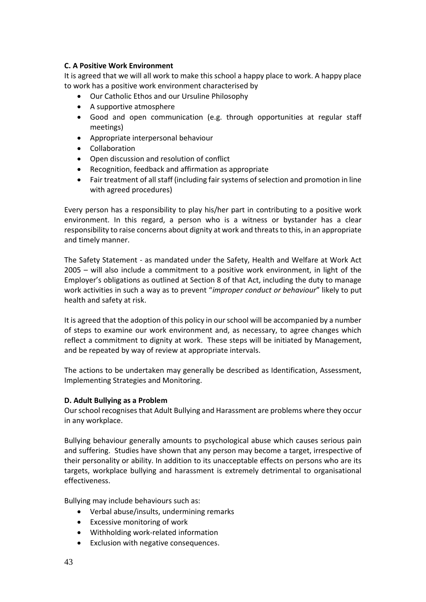#### **C. A Positive Work Environment**

It is agreed that we will all work to make this school a happy place to work. A happy place to work has a positive work environment characterised by

- Our Catholic Ethos and our Ursuline Philosophy
- A supportive atmosphere
- Good and open communication (e.g. through opportunities at regular staff meetings)
- Appropriate interpersonal behaviour
- Collaboration
- Open discussion and resolution of conflict
- Recognition, feedback and affirmation as appropriate
- Fair treatment of all staff (including fair systems of selection and promotion in line with agreed procedures)

Every person has a responsibility to play his/her part in contributing to a positive work environment. In this regard, a person who is a witness or bystander has a clear responsibility to raise concerns about dignity at work and threats to this, in an appropriate and timely manner.

The Safety Statement - as mandated under the Safety, Health and Welfare at Work Act 2005 – will also include a commitment to a positive work environment, in light of the Employer's obligations as outlined at Section 8 of that Act, including the duty to manage work activities in such a way as to prevent "*improper conduct or behaviour*" likely to put health and safety at risk.

It is agreed that the adoption of this policy in our school will be accompanied by a number of steps to examine our work environment and, as necessary, to agree changes which reflect a commitment to dignity at work. These steps will be initiated by Management, and be repeated by way of review at appropriate intervals.

The actions to be undertaken may generally be described as Identification, Assessment, Implementing Strategies and Monitoring.

#### **D. Adult Bullying as a Problem**

Our school recognises that Adult Bullying and Harassment are problems where they occur in any workplace.

Bullying behaviour generally amounts to psychological abuse which causes serious pain and suffering. Studies have shown that any person may become a target, irrespective of their personality or ability. In addition to its unacceptable effects on persons who are its targets, workplace bullying and harassment is extremely detrimental to organisational effectiveness.

Bullying may include behaviours such as:

- Verbal abuse/insults, undermining remarks
- Excessive monitoring of work
- Withholding work-related information
- Exclusion with negative consequences.